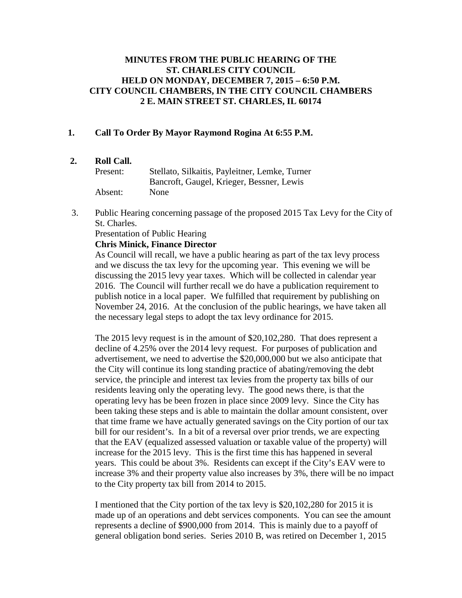# **MINUTES FROM THE PUBLIC HEARING OF THE ST. CHARLES CITY COUNCIL HELD ON MONDAY, DECEMBER 7, 2015 – 6:50 P.M. CITY COUNCIL CHAMBERS, IN THE CITY COUNCIL CHAMBERS 2 E. MAIN STREET ST. CHARLES, IL 60174**

# **1. Call To Order By Mayor Raymond Rogina At 6:55 P.M.**

# **2. Roll Call.**

| Present: | Stellato, Silkaitis, Payleitner, Lemke, Turner |
|----------|------------------------------------------------|
|          | Bancroft, Gaugel, Krieger, Bessner, Lewis      |
| Absent:  | <b>None</b>                                    |

3. Public Hearing concerning passage of the proposed 2015 Tax Levy for the City of St. Charles.

Presentation of Public Hearing

## **Chris Minick, Finance Director**

As Council will recall, we have a public hearing as part of the tax levy process and we discuss the tax levy for the upcoming year. This evening we will be discussing the 2015 levy year taxes. Which will be collected in calendar year 2016. The Council will further recall we do have a publication requirement to publish notice in a local paper. We fulfilled that requirement by publishing on November 24, 2016. At the conclusion of the public hearings, we have taken all the necessary legal steps to adopt the tax levy ordinance for 2015.

The 2015 levy request is in the amount of \$20,102,280. That does represent a decline of 4.25% over the 2014 levy request. For purposes of publication and advertisement, we need to advertise the \$20,000,000 but we also anticipate that the City will continue its long standing practice of abating/removing the debt service, the principle and interest tax levies from the property tax bills of our residents leaving only the operating levy. The good news there, is that the operating levy has be been frozen in place since 2009 levy. Since the City has been taking these steps and is able to maintain the dollar amount consistent, over that time frame we have actually generated savings on the City portion of our tax bill for our resident's. In a bit of a reversal over prior trends, we are expecting that the EAV (equalized assessed valuation or taxable value of the property) will increase for the 2015 levy. This is the first time this has happened in several years. This could be about 3%. Residents can except if the City's EAV were to increase 3% and their property value also increases by 3%, there will be no impact to the City property tax bill from 2014 to 2015.

I mentioned that the City portion of the tax levy is \$20,102,280 for 2015 it is made up of an operations and debt services components. You can see the amount represents a decline of \$900,000 from 2014. This is mainly due to a payoff of general obligation bond series. Series 2010 B, was retired on December 1, 2015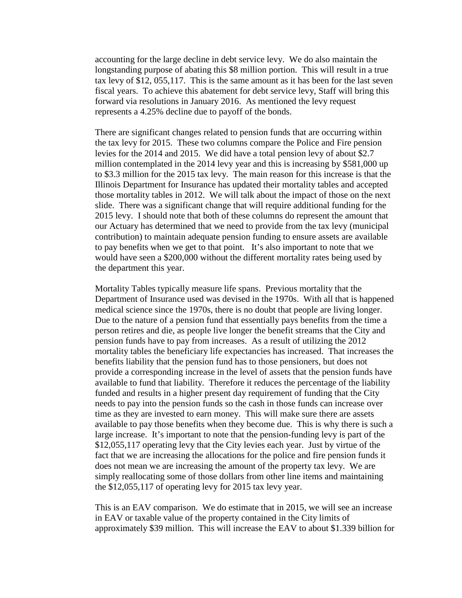accounting for the large decline in debt service levy. We do also maintain the longstanding purpose of abating this \$8 million portion. This will result in a true tax levy of \$12, 055,117. This is the same amount as it has been for the last seven fiscal years. To achieve this abatement for debt service levy, Staff will bring this forward via resolutions in January 2016. As mentioned the levy request represents a 4.25% decline due to payoff of the bonds.

There are significant changes related to pension funds that are occurring within the tax levy for 2015. These two columns compare the Police and Fire pension levies for the 2014 and 2015. We did have a total pension levy of about \$2.7 million contemplated in the 2014 levy year and this is increasing by \$581,000 up to \$3.3 million for the 2015 tax levy. The main reason for this increase is that the Illinois Department for Insurance has updated their mortality tables and accepted those mortality tables in 2012. We will talk about the impact of those on the next slide. There was a significant change that will require additional funding for the 2015 levy. I should note that both of these columns do represent the amount that our Actuary has determined that we need to provide from the tax levy (municipal contribution) to maintain adequate pension funding to ensure assets are available to pay benefits when we get to that point. It's also important to note that we would have seen a \$200,000 without the different mortality rates being used by the department this year.

Mortality Tables typically measure life spans. Previous mortality that the Department of Insurance used was devised in the 1970s. With all that is happened medical science since the 1970s, there is no doubt that people are living longer. Due to the nature of a pension fund that essentially pays benefits from the time a person retires and die, as people live longer the benefit streams that the City and pension funds have to pay from increases. As a result of utilizing the 2012 mortality tables the beneficiary life expectancies has increased. That increases the benefits liability that the pension fund has to those pensioners, but does not provide a corresponding increase in the level of assets that the pension funds have available to fund that liability. Therefore it reduces the percentage of the liability funded and results in a higher present day requirement of funding that the City needs to pay into the pension funds so the cash in those funds can increase over time as they are invested to earn money. This will make sure there are assets available to pay those benefits when they become due. This is why there is such a large increase. It's important to note that the pension-funding levy is part of the \$12,055,117 operating levy that the City levies each year. Just by virtue of the fact that we are increasing the allocations for the police and fire pension funds it does not mean we are increasing the amount of the property tax levy. We are simply reallocating some of those dollars from other line items and maintaining the \$12,055,117 of operating levy for 2015 tax levy year.

This is an EAV comparison. We do estimate that in 2015, we will see an increase in EAV or taxable value of the property contained in the City limits of approximately \$39 million. This will increase the EAV to about \$1.339 billion for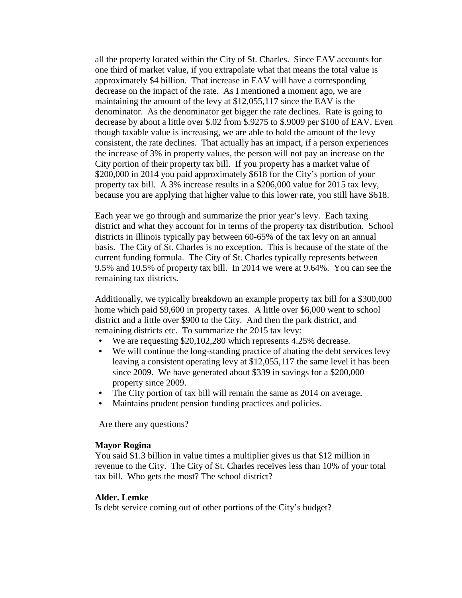all the property located within the City of St. Charles. Since EAV accounts for one third of market value, if you extrapolate what that means the total value is approximately \$4 billion. That increase in EAV will have a corresponding decrease on the impact of the rate. As I mentioned a moment ago, we are maintaining the amount of the levy at \$12,055,117 since the EAV is the denominator. As the denominator get bigger the rate declines. Rate is going to decrease by about a little over \$.02 from \$.9275 to \$.9009 per \$100 of EAV. Even though taxable value is increasing, we are able to hold the amount of the levy consistent, the rate declines. That actually has an impact, if a person experiences the increase of 3% in property values, the person will not pay an increase on the City portion of their property tax bill. If you property has a market value of \$200,000 in 2014 you paid approximately \$618 for the City's portion of your property tax bill. A 3% increase results in a \$206,000 value for 2015 tax levy, because you are applying that higher value to this lower rate, you still have \$618.

Each year we go through and summarize the prior year's levy. Each taxing district and what they account for in terms of the property tax distribution. School districts in Illinois typically pay between 60-65% of the tax levy on an annual basis. The City of St. Charles is no exception. This is because of the state of the current funding formula. The City of St. Charles typically represents between 9.5% and 10.5% of property tax bill. In 2014 we were at 9.64%. You can see the remaining tax districts.

Additionally, we typically breakdown an example property tax bill for a \$300,000 home which paid \$9,600 in property taxes. A little over \$6,000 went to school district and a little over \$900 to the City. And then the park district, and remaining districts etc. To summarize the 2015 tax levy:

- We are requesting \$20,102,280 which represents 4.25% decrease.
- We will continue the long-standing practice of abating the debt services levy leaving a consistent operating levy at \$12,055,117 the same level it has been since 2009. We have generated about \$339 in savings for a \$200,000 property since 2009.
- The City portion of tax bill will remain the same as 2014 on average.
- Maintains prudent pension funding practices and policies.

Are there any questions?

#### **Mayor Rogina**

You said \$1.3 billion in value times a multiplier gives us that \$12 million in revenue to the City. The City of St. Charles receives less than 10% of your total tax bill. Who gets the most? The school district?

#### **Alder. Lemke**

Is debt service coming out of other portions of the City's budget?